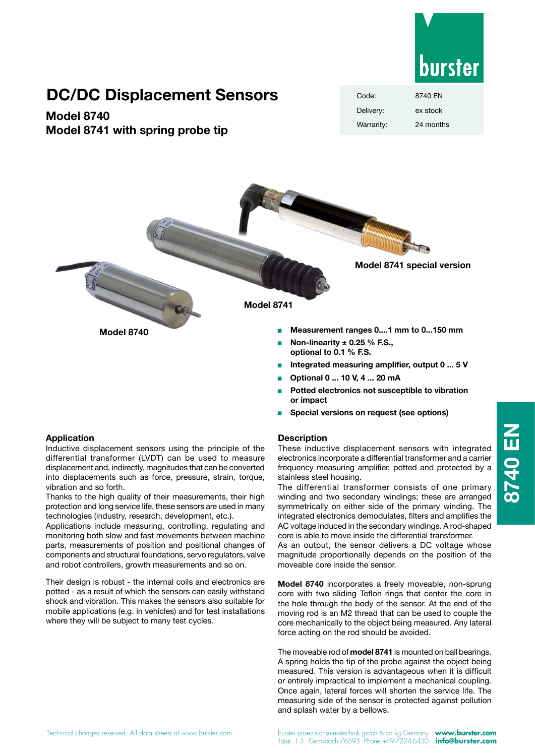

# **DC/DC Displacement Sensors**

## **Model 8740 Model 8741 with spring probe tip**

| Code:     | 8740 FN   |
|-----------|-----------|
| Delivery: | ex stock  |
| Warranty: | 24 months |



- <sup>n</sup> **Optional 0 ... 10 V, 4 ... 20 mA**
- Potted electronics not susceptible to vibration **or impact**
- <sup>Q</sup> **Special versions on request (see options)**

#### **Description**

These inductive displacement sensors with integrated electronics incorporate a differential transformer and a carrier frequency measuring amplifier, potted and protected by a stainless steel housing.

The differential transformer consists of one primary winding and two secondary windings; these are arranged symmetrically on either side of the primary winding. The integrated electronics demodulates, filters and amplifies the AC voltage induced in the secondary windings. A rod-shaped core is able to move inside the differential transformer.

As an output, the sensor delivers a DC voltage whose magnitude proportionally depends on the position of the moveable core inside the sensor.

**Model 8740** incorporates a freely moveable, non-sprung core with two sliding Teflon rings that center the core in the hole through the body of the sensor. At the end of the moving rod is an M2 thread that can be used to couple the core mechanically to the object being measured. Any lateral force acting on the rod should be avoided.

The moveable rod of **model 8741** is mounted on ball bearings. A spring holds the tip of the probe against the object being measured. This version is advantageous when it is difficult or entirely impractical to implement a mechanical coupling. Once again, lateral forces will shorten the service life. The measuring side of the sensor is protected against pollution and splash water by a bellows.

#### **Application**

Inductive displacement sensors using the principle of the differential transformer (LVDT) can be used to measure displacement and, indirectly, magnitudes that can be converted into displacements such as force, pressure, strain, torque, vibration and so forth.

Thanks to the high quality of their measurements, their high protection and long service life, these sensors are used in many technologies (industry, research, development, etc.).

Applications include measuring, controlling, regulating and monitoring both slow and fast movements between machine parts, measurements of position and positional changes of components and structural foundations, servo regulators, valve and robot controllers, growth measurements and so on.

Their design is robust - the internal coils and electronics are potted - as a result of which the sensors can easily withstand shock and vibration. This makes the sensors also suitable for mobile applications (e.g. in vehicles) and for test installations where they will be subject to many test cycles.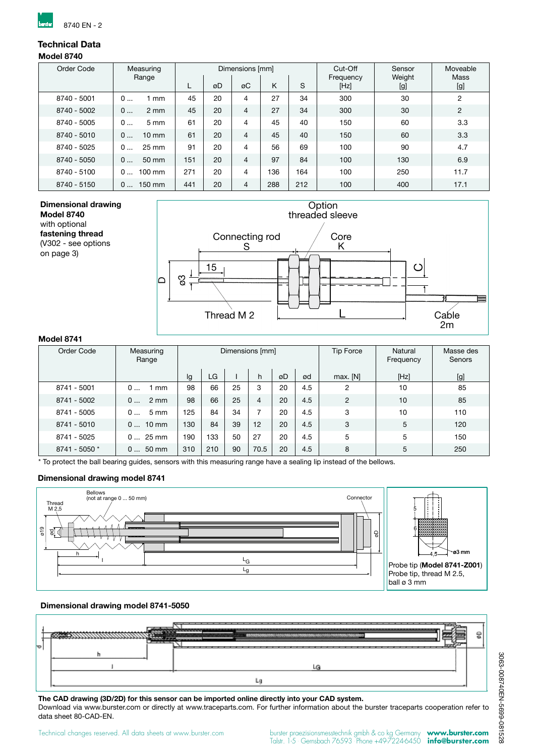

# **Technical Data**

| <b>Model 8740</b> |                       |     |    |                 |     |     |                      |                  |                  |
|-------------------|-----------------------|-----|----|-----------------|-----|-----|----------------------|------------------|------------------|
| Order Code        | Measuring<br>Range    |     |    | Dimensions [mm] |     |     | Cut-Off<br>Frequency | Sensor<br>Weight | Moveable<br>Mass |
|                   |                       | ┕   | øD | øC              | K   | S   | [Hz]                 | [g]              | [g]              |
| 8740 - 5001       | 0<br>$1 \text{ mm}$   | 45  | 20 | 4               | 27  | 34  | 300                  | 30               | 2                |
| 8740 - 5002       | 0<br>$2 \, \text{mm}$ | 45  | 20 | $\overline{4}$  | 27  | 34  | 300                  | 30               | 2                |
| 8740 - 5005       | 0<br>$5 \text{ mm}$   | 61  | 20 | $\overline{4}$  | 45  | 40  | 150                  | 60               | 3.3              |
| 8740 - 5010       | 0<br>$10 \text{ mm}$  | 61  | 20 | $\overline{4}$  | 45  | 40  | 150                  | 60               | 3.3              |
| 8740 - 5025       | $25 \text{ mm}$<br>0  | 91  | 20 | $\overline{4}$  | 56  | 69  | 100                  | 90               | 4.7              |
| 8740 - 5050       | 50 mm<br>0            | 151 | 20 | $\overline{4}$  | 97  | 84  | 100                  | 130              | 6.9              |
| 8740 - 5100       | $100 \text{ mm}$<br>0 | 271 | 20 | $\overline{4}$  | 136 | 164 | 100                  | 250              | 11.7             |
| 8740 - 5150       | 150 mm<br>0           | 441 | 20 | $\overline{4}$  | 288 | 212 | 100                  | 400              | 17.1             |

#### **Dimensional drawing Model 8740** with optional **fastening thread** (V302 - see options on page 3)



### **Model 8741**

| Order Code    | Measuring<br>Range    | Dimensions [mm] |     |    |      |    |     | <b>Tip Force</b> | Natural<br>Frequency | Masse des<br>Senors |
|---------------|-----------------------|-----------------|-----|----|------|----|-----|------------------|----------------------|---------------------|
|               |                       | lg              | LG  |    | h    | øD | ød  | max. [N]         | [Hz]                 | [g]                 |
| 8741 - 5001   | 0<br>mm               | 98              | 66  | 25 | 3    | 20 | 4.5 | 2                | 10                   | 85                  |
| 8741 - 5002   | 0<br>$2 \text{ mm}$   | 98              | 66  | 25 | 4    | 20 | 4.5 | 2                | 10                   | 85                  |
| 8741 - 5005   | 0<br>$5 \, \text{mm}$ | 125             | 84  | 34 |      | 20 | 4.5 | 3                | 10                   | 110                 |
| 8741 - 5010   | $0 10$ mm             | 130             | 84  | 39 | 12   | 20 | 4.5 | 3                | 5                    | 120                 |
| 8741 - 5025   | $025$ mm              | 190             | 133 | 50 | 27   | 20 | 4.5 | 5                | 5                    | 150                 |
| 8741 - 5050 * | $0 50$ mm             | 310             | 210 | 90 | 70.5 | 20 | 4.5 | 8                | 5                    | 250                 |

\* To protect the ball bearing guides, sensors with this measuring range have a sealing lip instead of the bellows.

#### **Dimensional drawing model 8741**



#### **Dimensional drawing model 8741-5050**



**The CAD drawing (3D/2D) for this sensor can be imported online directly into your CAD system.** Download via www.burster.com or directly at www.traceparts.com. For further information about the burster traceparts cooperation refer to data sheet 80-CAD-EN.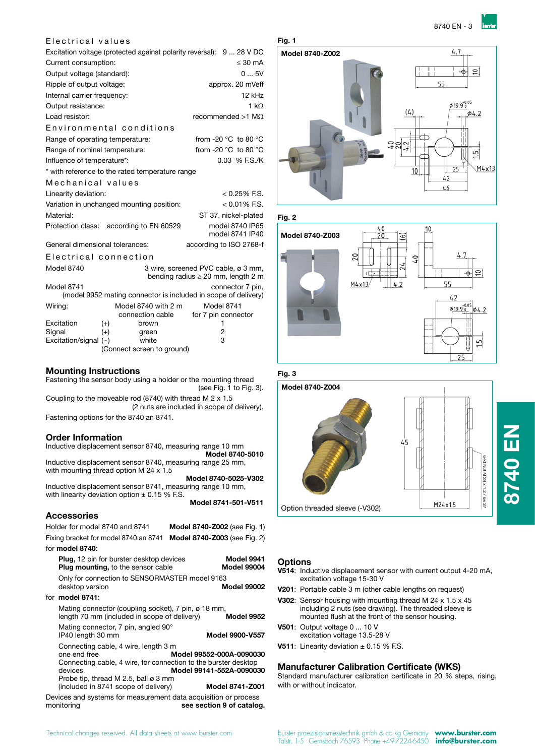#### Electrical values

| Excitation voltage (protected against polarity reversal): 9  28 V DC |                                                                |                     |  |                                                                                |  |
|----------------------------------------------------------------------|----------------------------------------------------------------|---------------------|--|--------------------------------------------------------------------------------|--|
| $\leq 30$ mA<br>Current consumption:                                 |                                                                |                     |  |                                                                                |  |
| 05V<br>Output voltage (standard):                                    |                                                                |                     |  |                                                                                |  |
| Ripple of output voltage:                                            |                                                                | approx. 20 mVeff    |  |                                                                                |  |
| Internal carrier frequency:                                          |                                                                |                     |  | $12$ kHz                                                                       |  |
| Output resistance:                                                   |                                                                |                     |  | 1 k $\Omega$                                                                   |  |
| Load resistor:                                                       |                                                                |                     |  | recommended $>1$ M $\Omega$                                                    |  |
| Environmental conditions                                             |                                                                |                     |  |                                                                                |  |
| Range of operating temperature:                                      |                                                                |                     |  | from -20 $^{\circ}$ C to 80 $^{\circ}$ C                                       |  |
| Range of nominal temperature:                                        |                                                                |                     |  | from -20 $^{\circ}$ C to 80 $^{\circ}$ C                                       |  |
| Influence of temperature*:                                           |                                                                |                     |  | 0.03 % F.S./K                                                                  |  |
| * with reference to the rated temperature range                      |                                                                |                     |  |                                                                                |  |
| Mechanical values                                                    |                                                                |                     |  |                                                                                |  |
| Linearity deviation:                                                 |                                                                |                     |  | $< 0.25\%$ F.S.                                                                |  |
| Variation in unchanged mounting position:                            |                                                                |                     |  | $< 0.01\%$ F.S.                                                                |  |
| Material:                                                            |                                                                |                     |  | ST 37, nickel-plated                                                           |  |
| Protection class: according to EN 60529                              |                                                                |                     |  | model 8740 IP65<br>model 8741 IP40                                             |  |
| General dimensional tolerances:                                      |                                                                |                     |  | according to ISO 2768-f                                                        |  |
| Electrical connection                                                |                                                                |                     |  |                                                                                |  |
| Model 8740                                                           |                                                                |                     |  | 3 wire, screened PVC cable, ø 3 mm,<br>bending radius $\geq 20$ mm, length 2 m |  |
| Model 8741                                                           | (model 9952 mating connector is included in scope of delivery) |                     |  | connector 7 pin,                                                               |  |
| Wiring:                                                              |                                                                | Model 8740 with 2 m |  | Model 8741                                                                     |  |
|                                                                      |                                                                | connection cable    |  | for 7 pin connector                                                            |  |
| Excitation                                                           | $(+)$                                                          | brown               |  | 1                                                                              |  |
| Signal                                                               | $^{(+)}$                                                       | green<br>white      |  | 2<br>3                                                                         |  |
| Excitation/signal (-)                                                |                                                                |                     |  |                                                                                |  |
| (Connect screen to ground)                                           |                                                                |                     |  |                                                                                |  |

**Mounting Instructions**<br>**Fig. 3** Fastening the sensor body using a holder or the mounting thread (see Fig. 1 to Fig. 3). Coupling to the moveable rod (8740) with thread M 2 x 1.5 (2 nuts are included in scope of delivery). Fastening options for the 8740 an 8741.

#### **Order Information**

Inductive displacement sensor 8740, measuring range 10 mm  **Model 8740-5010** Inductive displacement sensor 8740, measuring range 25 mm,

with mounting thread option M 24 x 1.5 **Model 8740-5025-V302** Inductive displacement sensor 8741, measuring range 10 mm, with linearity deviation option  $\pm$  0.15 % F.S.

**Model 8741-501-V511**

#### **Accessories**

| Holder for model 8740 and 8741                                            | <b>Model 8740-Z002</b> (see Fig. 1) |
|---------------------------------------------------------------------------|-------------------------------------|
| Fixing bracket for model 8740 an 8741 <b>Model 8740-Z003</b> (see Fig. 2) |                                     |
| for <b>model 8740</b> :                                                   |                                     |
| <b>Plug, 12 pin for burster desktop devices</b>                           | Model 9941                          |

| <b>Plug mounting, to the sensor cable</b>                                                                                                                                                                          | <b>Model 99004</b>                                                      |
|--------------------------------------------------------------------------------------------------------------------------------------------------------------------------------------------------------------------|-------------------------------------------------------------------------|
| Only for connection to SENSORMASTER model 9163<br>desktop version                                                                                                                                                  | <b>Model 99002</b>                                                      |
| for <b>model 8741</b> :                                                                                                                                                                                            |                                                                         |
| Mating connector (coupling socket), 7 pin, ø 18 mm,<br>length 70 mm (included in scope of delivery)                                                                                                                | Model 9952                                                              |
| Mating connector, 7 pin, angled 90°<br>IP40 length 30 mm                                                                                                                                                           | Model 9900-V557                                                         |
| Connecting cable, 4 wire, length 3 m<br>one end free<br>Connecting cable, 4 wire, for connection to the burster desktop<br>devices<br>Probe tip, thread M 2.5, ball ø 3 mm<br>(included in 8741 scope of delivery) | Model 99552-000A-0090030<br>Model 99141-552A-0090030<br>Model 8741-Z001 |
| Devices and systems for measurement data acquisition or process                                                                                                                                                    |                                                                         |
|                                                                                                                                                                                                                    |                                                                         |

monitoring **see section 9 of catalog.** 



### **Fig. 2**





#### **Options**

- **V514**: Inductive displacement sensor with current output 4-20 mA, excitation voltage 15-30 V
- **V201**: Portable cable 3 m (other cable lengths on request)
- **V302**: Sensor housing with mounting thread M 24 x 1.5 x 45 including 2 nuts (see drawing). The threaded sleeve is mounted flush at the front of the sensor housing.
- **V501**: Output voltage 0 ... 10 V excitation voltage 13.5-28 V
- **V511:** Linearity deviation  $\pm$  0.15 % F.S.

#### **Manufacturer Calibration Certificate (WKS)**

Standard manufacturer calibration certificate in 20 % steps, rising, with or without indicator.